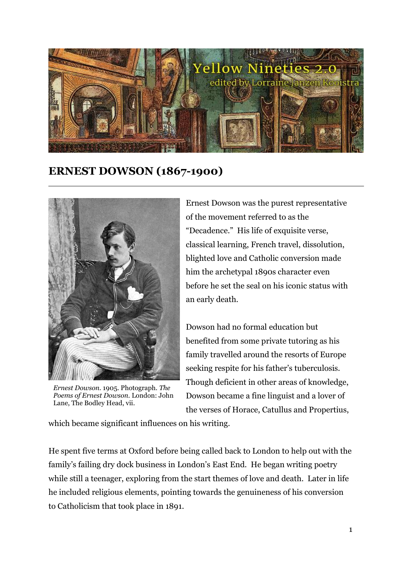

## **ERNEST DOWSON (1867-1900)**



*Ernest Dowson.* 1905. Photograph. *The Poems of Ernest Dowson.* London: John Lane, The Bodley Head, vii.

Ernest Dowson was the purest representative of the movement referred to as the "Decadence." His life of exquisite verse, classical learning, French travel, dissolution, blighted love and Catholic conversion made him the archetypal 1890s character even before he set the seal on his iconic status with an early death.

Dowson had no formal education but benefited from some private tutoring as his family travelled around the resorts of Europe seeking respite for his father's tuberculosis. Though deficient in other areas of knowledge, Dowson became a fine linguist and a lover of the verses of Horace, Catullus and Propertius,

which became significant influences on his writing.

He spent five terms at Oxford before being called back to London to help out with the family's failing dry dock business in London's East End. He began writing poetry while still a teenager, exploring from the start themes of love and death. Later in life he included religious elements, pointing towards the genuineness of his conversion to Catholicism that took place in 1891.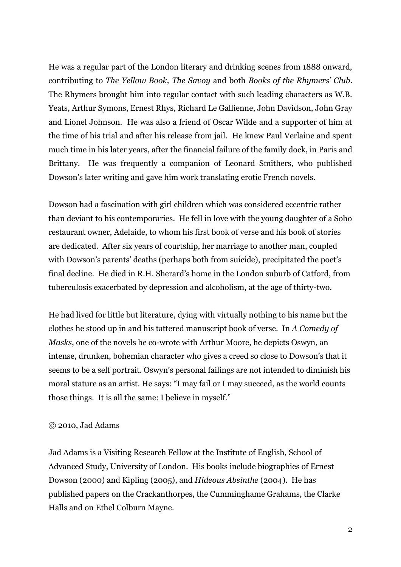He was a regular part of the London literary and drinking scenes from 1888 onward, contributing to *The Yellow Book, The Savoy* and both *Books of the Rhymers' Club*. The Rhymers brought him into regular contact with such leading characters as W.B. Yeats, Arthur Symons, Ernest Rhys, Richard Le Gallienne, John Davidson, John Gray and Lionel Johnson. He was also a friend of Oscar Wilde and a supporter of him at the time of his trial and after his release from jail. He knew Paul Verlaine and spent much time in his later years, after the financial failure of the family dock, in Paris and Brittany. He was frequently a companion of Leonard Smithers, who published Dowson's later writing and gave him work translating erotic French novels.

Dowson had a fascination with girl children which was considered eccentric rather than deviant to his contemporaries. He fell in love with the young daughter of a Soho restaurant owner, Adelaide, to whom his first book of verse and his book of stories are dedicated. After six years of courtship, her marriage to another man, coupled with Dowson's parents' deaths (perhaps both from suicide), precipitated the poet's final decline. He died in R.H. Sherard's home in the London suburb of Catford, from tuberculosis exacerbated by depression and alcoholism, at the age of thirty-two.

He had lived for little but literature, dying with virtually nothing to his name but the clothes he stood up in and his tattered manuscript book of verse. In *A Comedy of Masks*, one of the novels he co-wrote with Arthur Moore, he depicts Oswyn, an intense, drunken, bohemian character who gives a creed so close to Dowson's that it seems to be a self portrait. Oswyn's personal failings are not intended to diminish his moral stature as an artist. He says: "I may fail or I may succeed, as the world counts those things. It is all the same: I believe in myself."

## © 2010, Jad Adams

Jad Adams is a Visiting Research Fellow at the Institute of English, School of Advanced Study, University of London. His books include biographies of Ernest Dowson (2000) and Kipling (2005), and *Hideous Absinthe* (2004). He has published papers on the Crackanthorpes, the Cumminghame Grahams, the Clarke Halls and on Ethel Colburn Mayne.